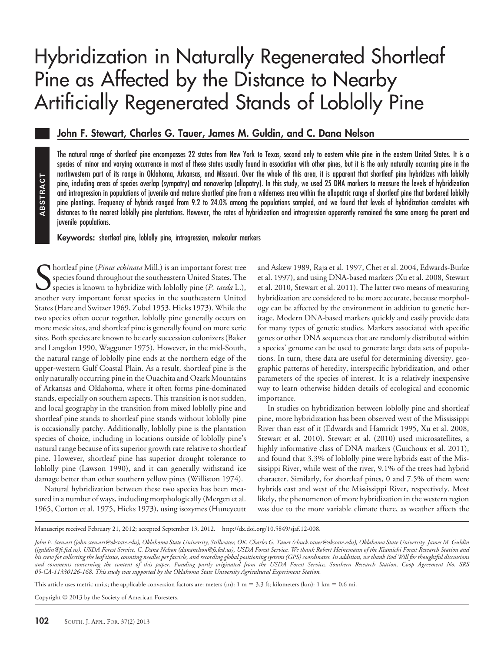# Hybridization in Naturally Regenerated Shortleaf Pine as Affected by the Distance to Nearby Artificially Regenerated Stands of Loblolly Pine

# **John F. Stewart, Charles G. Tauer, James M. Guldin, and C. Dana Nelson**

The natural range of shortleaf pine encompasses 22 states from New York to Texas, second only to eastern white pine in the eastern United States. It is a species of minor and varying occurrence in most of these states usually found in association with other pines, but it is the only naturally occurring pine in the northwestern part of its range in Oklahoma, Arkansas, and Missouri. Over the whole of this area, it is apparent that shortleaf pine hybridizes with loblolly pine, including areas of species overlap (sympatry) and nonoverlap (allopatry). In this study, we used 25 DNA markers to measure the levels of hybridization and introgression in populations of juvenile and mature shortleaf pine from a wilderness area within the allopatric range of shortleaf pine that bordered loblolly pine plantings. Frequency of hybrids ranged from 9.2 to 24.0% among the populations sampled, and we found that levels of hybridization correlates with distances to the nearest loblolly pine plantations. However, the rates of hybridization and introgression apparently remained the same among the parent and juvenile populations.

**Keywords:** shortleaf pine, loblolly pine, introgression, molecular markers

S<sub>anoth</sub> hortleaf pine (*Pinus echinata* Mill.) is an important forest tree species found throughout the southeastern United States. The species is known to hybridize with loblolly pine (*P. taeda* L.), another very important forest species in the southeastern United States (Hare and Switzer 1969, Zobel 1953, Hicks 1973). While the two species often occur together, loblolly pine generally occurs on more mesic sites, and shortleaf pine is generally found on more xeric sites. Both species are known to be early succession colonizers (Baker and Langdon 1990, Waggoner 1975). However, in the mid-South, the natural range of loblolly pine ends at the northern edge of the upper-western Gulf Coastal Plain. As a result, shortleaf pine is the only naturally occurring pine in the Ouachita and Ozark Mountains of Arkansas and Oklahoma, where it often forms pine-dominated stands, especially on southern aspects. This transition is not sudden, and local geography in the transition from mixed loblolly pine and shortleaf pine stands to shortleaf pine stands without loblolly pine is occasionally patchy. Additionally, loblolly pine is the plantation species of choice, including in locations outside of loblolly pine's natural range because of its superior growth rate relative to shortleaf pine. However, shortleaf pine has superior drought tolerance to loblolly pine (Lawson 1990), and it can generally withstand ice damage better than other southern yellow pines (Williston 1974). Figure in this ting in the singular prime in the state of the courts, the pine plantings. Frequency of hybridistances to the nearest loblolly pine plantings. Frequency of hybridistances to the nearest loblolly pine inventi

Natural hybridization between these two species has been measured in a number of ways, including morphologically (Mergen et al. 1965, Cotton et al. 1975, Hicks 1973), using isozymes (Huneycutt

and Askew 1989, Raja et al. 1997, Chet et al. 2004, Edwards-Burke et al. 1997), and using DNA-based markers (Xu et al. 2008, Stewart et al. 2010, Stewart et al. 2011). The latter two means of measuring hybridization are considered to be more accurate, because morphology can be affected by the environment in addition to genetic heritage. Modern DNA-based markers quickly and easily provide data for many types of genetic studies. Markers associated with specific genes or other DNA sequences that are randomly distributed within a species' genome can be used to generate large data sets of populations. In turn, these data are useful for determining diversity, geographic patterns of heredity, interspecific hybridization, and other parameters of the species of interest. It is a relatively inexpensive way to learn otherwise hidden details of ecological and economic importance.

In studies on hybridization between loblolly pine and shortleaf pine, more hybridization has been observed west of the Mississippi River than east of it (Edwards and Hamrick 1995, Xu et al. 2008, Stewart et al. 2010). Stewart et al. (2010) used microsatellites, a highly informative class of DNA markers (Guichoux et al. 2011), and found that 3.3% of loblolly pine were hybrids east of the Mississippi River, while west of the river, 9.1% of the trees had hybrid character. Similarly, for shortleaf pines, 0 and 7.5% of them were hybrids east and west of the Mississippi River, respectively. Most likely, the phenomenon of more hybridization in the western region was due to the more variable climate there, as weather affects the

Copyright © 2013 by the Society of American Foresters.

Manuscript received February 21, 2012; accepted September 13, 2012. http://dx.doi.org/10.5849/sjaf.12-008.

*John F. Stewart (john.stewart@okstate.edu), Oklahoma State University, Stillwater, OK. Charles G. Tauer (chuck.tauer@okstate.edu), Oklahoma State University. James M. Guldin (jguldin@fs.fed.us), USDA Forest Service. C. Dana Nelson (dananelson@fs.fed.us), USDA Forest Service. We thank Robert Heinemann of the Kiamichi Forest Research Station and his crew for collecting the leaf tissue, counting needles per fascicle, and recording global positioning systems (GPS) coordinates. In addition, we thank Rod Will for thoughtful discussions and comments concerning the content of this paper. Funding partly originated from the USDA Forest Service, Southern Research Station, Coop Agreement No. SRS 05-CA-11330126-168. This study was supported by the Oklahoma State University Agricultural Experiment Station.*

This article uses metric units; the applicable conversion factors are: meters (m):  $1 \text{ m} = 3.3 \text{ ft}$ ; kilometers (km):  $1 \text{ km} = 0.6 \text{ mi}$ .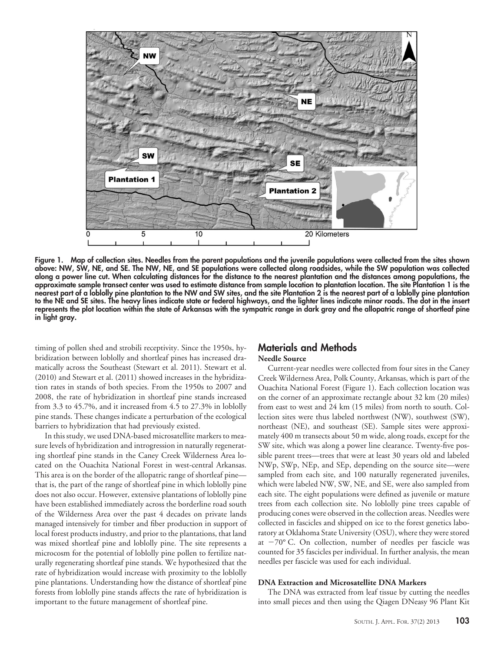

**Figure 1. Map of collection sites. Needles from the parent populations and the juvenile populations were collected from the sites shown above: NW, SW, NE, and SE. The NW, NE, and SE populations were collected along roadsides, while the SW population was collected along a power line cut. When calculating distances for the distance to the nearest plantation and the distances among populations, the approximate sample transect center was used to estimate distance from sample location to plantation location. The site Plantation 1 is the nearest part of a loblolly pine plantation to the NW and SW sites, and the site Plantation 2 is the nearest part of a loblolly pine plantation to the NE and SE sites. The heavy lines indicate state or federal highways, and the lighter lines indicate minor roads. The dot in the insert represents the plot location within the state of Arkansas with the sympatric range in dark gray and the allopatric range of shortleaf pine in light gray.**

timing of pollen shed and strobili receptivity. Since the 1950s, hybridization between loblolly and shortleaf pines has increased dramatically across the Southeast (Stewart et al. 2011). Stewart et al. (2010) and Stewart et al. (2011) showed increases in the hybridization rates in stands of both species. From the 1950s to 2007 and 2008, the rate of hybridization in shortleaf pine stands increased from 3.3 to 45.7%, and it increased from 4.5 to 27.3% in loblolly pine stands. These changes indicate a perturbation of the ecological barriers to hybridization that had previously existed.

In this study, we used DNA-based microsatellite markers to measure levels of hybridization and introgression in naturally regenerating shortleaf pine stands in the Caney Creek Wilderness Area located on the Ouachita National Forest in west-central Arkansas. This area is on the border of the allopatric range of shortleaf pine that is, the part of the range of shortleaf pine in which loblolly pine does not also occur. However, extensive plantations of loblolly pine have been established immediately across the borderline road south of the Wilderness Area over the past 4 decades on private lands managed intensively for timber and fiber production in support of local forest products industry, and prior to the plantations, that land was mixed shortleaf pine and loblolly pine. The site represents a microcosm for the potential of loblolly pine pollen to fertilize naturally regenerating shortleaf pine stands. We hypothesized that the rate of hybridization would increase with proximity to the loblolly pine plantations. Understanding how the distance of shortleaf pine forests from loblolly pine stands affects the rate of hybridization is important to the future management of shortleaf pine.

# **Materials and Methods**

# **Needle Source**

Current-year needles were collected from four sites in the Caney Creek Wilderness Area, Polk County, Arkansas, which is part of the Ouachita National Forest (Figure 1). Each collection location was on the corner of an approximate rectangle about 32 km (20 miles) from east to west and 24 km (15 miles) from north to south. Collection sites were thus labeled northwest (NW), southwest (SW), northeast (NE), and southeast (SE). Sample sites were approximately 400 m transects about 50 m wide, along roads, except for the SW site, which was along a power line clearance. Twenty-five possible parent trees—trees that were at least 30 years old and labeled NWp, SWp, NEp, and SEp, depending on the source site—were sampled from each site, and 100 naturally regenerated juveniles, which were labeled NW, SW, NE, and SE, were also sampled from each site. The eight populations were defined as juvenile or mature trees from each collection site. No loblolly pine trees capable of producing cones were observed in the collection areas. Needles were collected in fascicles and shipped on ice to the forest genetics laboratory at Oklahoma State University (OSU), where they were stored at -70° C. On collection, number of needles per fascicle was counted for 35 fascicles per individual. In further analysis, the mean needles per fascicle was used for each individual.

#### **DNA Extraction and Microsatellite DNA Markers**

The DNA was extracted from leaf tissue by cutting the needles into small pieces and then using the Qiagen DNeasy 96 Plant Kit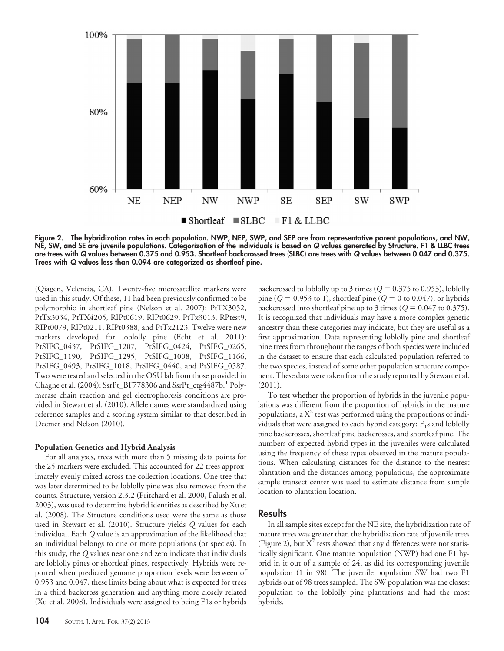

**Figure 2. The hybridization rates in each population. NWP, NEP, SWP, and SEP are from representative parent populations, and NW, NE, SW, and SE are juvenile populations. Categorization of the individuals is based on** *Q* **values generated by Structure. F1 & LLBC trees are trees with** *Q* **values between 0.375 and 0.953. Shortleaf backcrossed trees (SLBC) are trees with** *Q* **values between 0.047 and 0.375. Trees with** *Q* **values less than 0.094 are categorized as shortleaf pine.**

(Qiagen, Velencia, CA). Twenty-five microsatellite markers were used in this study. Of these, 11 had been previously confirmed to be polymorphic in shortleaf pine (Nelson et al. 2007): PtTX3052, PtTx3034, PtTX4205, RIPt0619, RIPt0629, PtTx3013, RPtest9, RIPt0079, RIPt0211, RIPt0388, and PtTx2123. Twelve were new markers developed for loblolly pine (Echt et al. 2011): PtSIFG\_0437, PtSIFG\_1207, PtSIFG\_0424, PtSIFG\_0265, PtSIFG\_1190, PtSIFG\_1295, PtSIFG\_1008, PtSIFG\_1166, PtSIFG\_0493, PtSIFG\_1018, PtSIFG\_0440, and PtSIFG\_0587. Two were tested and selected in the OSU lab from those provided in Chagne et al. (2004): SsrPt\_BF778306 and SsrPt\_ctg4487b.<sup>1</sup> Polymerase chain reaction and gel electrophoresis conditions are provided in Stewart et al. (2010). Allele names were standardized using reference samples and a scoring system similar to that described in Deemer and Nelson (2010).

## **Population Genetics and Hybrid Analysis**

For all analyses, trees with more than 5 missing data points for the 25 markers were excluded. This accounted for 22 trees approximately evenly mixed across the collection locations. One tree that was later determined to be loblolly pine was also removed from the counts. Structure, version 2.3.2 (Pritchard et al. 2000, Falush et al. 2003), was used to determine hybrid identities as described by Xu et al. (2008). The Structure conditions used were the same as those used in Stewart et al. (2010). Structure yields *Q* values for each individual. Each *Q* value is an approximation of the likelihood that an individual belongs to one or more populations (or species). In this study, the *Q* values near one and zero indicate that individuals are loblolly pines or shortleaf pines, respectively. Hybrids were reported when predicted genome proportion levels were between of 0.953 and 0.047, these limits being about what is expected for trees in a third backcross generation and anything more closely related (Xu et al. 2008). Individuals were assigned to being F1s or hybrids

backcrossed to loblolly up to 3 times ( $Q = 0.375$  to 0.953), loblolly pine ( $Q = 0.953$  to 1), shortleaf pine ( $Q = 0$  to 0.047), or hybrids backcrossed into shortleaf pine up to 3 times  $(Q = 0.047 \text{ to } 0.375)$ . It is recognized that individuals may have a more complex genetic ancestry than these categories may indicate, but they are useful as a first approximation. Data representing loblolly pine and shortleaf pine trees from throughout the ranges of both species were included in the dataset to ensure that each calculated population referred to the two species, instead of some other population structure component. These data were taken from the study reported by Stewart et al. (2011).

To test whether the proportion of hybrids in the juvenile populations was different from the proportion of hybrids in the mature populations, a  $X^2$  test was performed using the proportions of individuals that were assigned to each hybrid category:  $F_1s$  and loblolly pine backcrosses, shortleaf pine backcrosses, and shortleaf pine. The numbers of expected hybrid types in the juveniles were calculated using the frequency of these types observed in the mature populations. When calculating distances for the distance to the nearest plantation and the distances among populations, the approximate sample transect center was used to estimate distance from sample location to plantation location.

# **Results**

In all sample sites except for the NE site, the hybridization rate of mature trees was greater than the hybridization rate of juvenile trees (Figure 2), but  $X^2$  tests showed that any differences were not statistically significant. One mature population (NWP) had one F1 hybrid in it out of a sample of 24, as did its corresponding juvenile population (1 in 98). The juvenile population SW had two F1 hybrids out of 98 trees sampled. The SW population was the closest population to the loblolly pine plantations and had the most hybrids.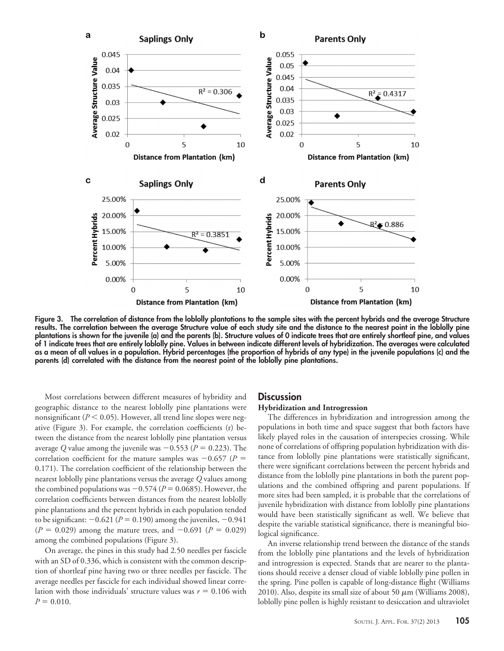

**Figure 3. The correlation of distance from the loblolly plantations to the sample sites with the percent hybrids and the average Structure results. The correlation between the average Structure value of each study site and the distance to the nearest point in the loblolly pine plantations is shown for the juvenile (a) and the parents (b). Structure values of 0 indicate trees that are entirely shortleaf pine, and values of 1 indicate trees that are entirely loblolly pine. Values in between indicate different levels of hybridization. The averages were calculated as a mean of all values in a population. Hybrid percentages (the proportion of hybrids of any type) in the juvenile populations (c) and the parents (d) correlated with the distance from the nearest point of the loblolly pine plantations.**

Most correlations between different measures of hybridity and geographic distance to the nearest loblolly pine plantations were nonsignificant ( $P < 0.05$ ). However, all trend line slopes were negative (Figure 3). For example, the correlation coefficients (r) between the distance from the nearest loblolly pine plantation versus average Q value among the juvenile was  $-0.553$  ( $P = 0.223$ ). The correlation coefficient for the mature samples was  $-0.657$  ( $P =$ 0.171). The correlation coefficient of the relationship between the nearest loblolly pine plantations versus the average *Q* values among the combined populations was  $-0.574$  ( $P = 0.0685$ ). However, the correlation coefficients between distances from the nearest loblolly pine plantations and the percent hybrids in each population tended to be significant:  $-0.621 (P = 0.190)$  among the juveniles,  $-0.941$  $(P = 0.029)$  among the mature trees, and  $-0.691$   $(P = 0.029)$ among the combined populations (Figure 3).

On average, the pines in this study had 2.50 needles per fascicle with an SD of 0.336, which is consistent with the common description of shortleaf pine having two or three needles per fascicle. The average needles per fascicle for each individual showed linear correlation with those individuals' structure values was  $r = 0.106$  with  $P = 0.010$ .

#### **Discussion**

## **Hybridization and Introgression**

The differences in hybridization and introgression among the populations in both time and space suggest that both factors have likely played roles in the causation of interspecies crossing. While none of correlations of offspring population hybridization with distance from loblolly pine plantations were statistically significant, there were significant correlations between the percent hybrids and distance from the loblolly pine plantations in both the parent populations and the combined offspring and parent populations. If more sites had been sampled, it is probable that the correlations of juvenile hybridization with distance from loblolly pine plantations would have been statistically significant as well. We believe that despite the variable statistical significance, there is meaningful biological significance.

An inverse relationship trend between the distance of the stands from the loblolly pine plantations and the levels of hybridization and introgression is expected. Stands that are nearer to the plantations should receive a denser cloud of viable loblolly pine pollen in the spring. Pine pollen is capable of long-distance flight (Williams 2010). Also, despite its small size of about 50  $\mu$ m (Williams 2008), loblolly pine pollen is highly resistant to desiccation and ultraviolet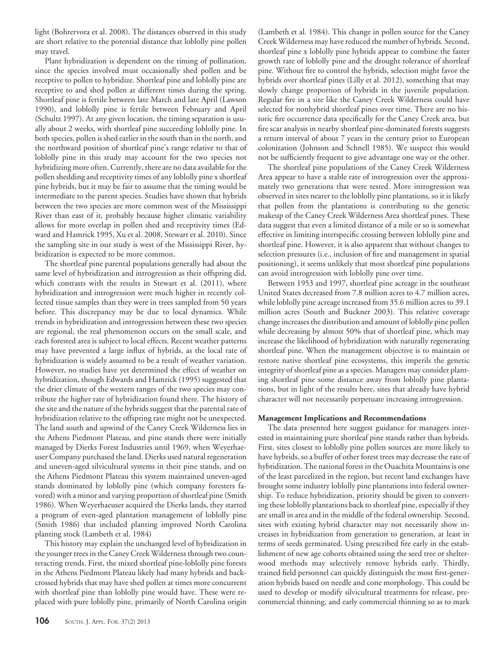light (Bohrervora et al. 2008). The distances observed in this study are short relative to the potential distance that loblolly pine pollen may travel.

Plant hybridization is dependent on the timing of pollination, since the species involved must occasionally shed pollen and be receptive to pollen to hybridize. Shortleaf pine and loblolly pine are receptive to and shed pollen at different times during the spring. Shortleaf pine is fertile between late March and late April (Lawson 1990), and loblolly pine is fertile between February and April (Schultz 1997). At any given location, the timing separation is usually about 2 weeks, with shortleaf pine succeeding loblolly pine. In both species, pollen is shed earlier in the south than in the north, and the northward position of shortleaf pine's range relative to that of loblolly pine in this study may account for the two species not hybridizing more often. Currently, there are no data available for the pollen shedding and receptivity times of any loblolly pine x shortleaf pine hybrids, but it may be fair to assume that the timing would be intermediate to the parent species. Studies have shown that hybrids between the two species are more common west of the Mississippi River than east of it, probably because higher climatic variability allows for more overlap in pollen shed and receptivity times (Edward and Hamrick 1995, Xu et al. 2008, Stewart et al. 2010). Since the sampling site in our study is west of the Mississippi River, hybridization is expected to be more common.

The shortleaf pine parental populations generally had about the same level of hybridization and introgression as their offspring did, which contrasts with the results in Stewart et al. (2011), where hybridization and introgression were much higher in recently collected tissue samples than they were in trees sampled from 50 years before. This discrepancy may be due to local dynamics. While trends in hybridization and introgression between these two species are regional, the real phenomenon occurs on the small scale, and each forested area is subject to local effects. Recent weather patterns may have prevented a large influx of hybrids, as the local rate of hybridization is widely assumed to be a result of weather variation. However, no studies have yet determined the effect of weather on hybridization, though Edwards and Hamrick (1995) suggested that the drier climate of the western ranges of the two species may contribute the higher rate of hybridization found there. The history of the site and the nature of the hybrids suggest that the parental rate of hybridization relative to the offspring rate might not be unexpected. The land south and upwind of the Caney Creek Wilderness lies in the Athens Piedmont Plateau, and pine stands there were initially managed by Dierks Forest Industries until 1969, when Weyerhaeuser Company purchased the land. Dierks used natural regeneration and uneven-aged silvicultural systems in their pine stands, and on the Athens Piedmont Plateau this system maintained uneven-aged stands dominated by loblolly pine (which company foresters favored) with a minor and varying proportion of shortleaf pine (Smith 1986). When Weyerhaeuser acquired the Dierks lands, they started a program of even-aged plantation management of loblolly pine (Smith 1986) that included planting improved North Carolina planting stock (Lambeth et al. 1984)

This history may explain the unchanged level of hybridization in the younger trees in the Caney Creek Wilderness through two counteracting trends. First, the mixed shortleaf pine-loblolly pine forests in the Athens Piedmont Plateau likely had many hybrids and backcrossed hybrids that may have shed pollen at times more concurrent with shortleaf pine than loblolly pine would have. These were replaced with pure loblolly pine, primarily of North Carolina origin (Lambeth et al. 1984). This change in pollen source for the Caney Creek Wilderness may have reduced the number of hybrids. Second, shortleaf pine x loblolly pine hybrids appear to combine the faster growth rate of loblolly pine and the drought tolerance of shortleaf pine. Without fire to control the hybrids, selection might favor the hybrids over shortleaf pines (Lilly et al. 2012), something that may slowly change proportion of hybrids in the juvenile population. Regular fire in a site like the Caney Creek Wilderness could have selected for nonhybrid shortleaf pines over time. There are no historic fire occurrence data specifically for the Caney Creek area, but fire scar analysis in nearby shortleaf pine-dominated forests suggests a return interval of about 7 years in the century prior to European colonization (Johnson and Schnell 1985). We suspect this would not be sufficiently frequent to give advantage one way or the other.

The shortleaf pine populations of the Caney Creek Wilderness Area appear to have a stable rate of introgression over the approximately two generations that were tested. More introgression was observed in sites nearer to the loblolly pine plantations, so it is likely that pollen from the plantations is contributing to the genetic makeup of the Caney Creek Wilderness Area shortleaf pines. These data suggest that even a limited distance of a mile or so is somewhat effective in limiting interspecific crossing between loblolly pine and shortleaf pine. However, it is also apparent that without changes to selection pressures (i.e., inclusion of fire and management in spatial positioning), it seems unlikely that most shortleaf pine populations can avoid introgression with loblolly pine over time.

Between 1953 and 1997, shortleaf pine acreage in the southeast United States decreased from 7.8 million acres to 4.7 million acres, while loblolly pine acreage increased from 35.6 million acres to 39.1 million acres (South and Buckner 2003). This relative coverage change increases the distribution and amount of loblolly pine pollen while decreasing by almost 50% that of shortleaf pine, which may increase the likelihood of hybridization with naturally regenerating shortleaf pine. When the management objective is to maintain or restore native shortleaf pine ecosystems, this imperils the genetic integrity of shortleaf pine as a species. Managers may consider planting shortleaf pine some distance away from loblolly pine plantations, but in light of the results here, sites that already have hybrid character will not necessarily perpetuate increasing introgression.

#### **Management Implications and Recommendations**

The data presented here suggest guidance for managers interested in maintaining pure shortleaf pine stands rather than hybrids. First, sites closest to loblolly pine pollen sources are more likely to have hybrids, so a buffer of other forest trees may decrease the rate of hybridization. The national forest in the Ouachita Mountains is one of the least parcelized in the region, but recent land exchanges have brought some industry loblolly pine plantations into federal ownership. To reduce hybridization, priority should be given to converting these loblolly plantations back to shortleaf pine, especially if they are small in area and in the middle of the federal ownership. Second, sites with existing hybrid character may not necessarily show increases in hybridization from generation to generation, at least in terms of seeds germinated. Using prescribed fire early in the establishment of new age cohorts obtained using the seed tree or shelterwood methods may selectively remove hybrids early. Thirdly, trained field personnel can quickly distinguish the most first-generation hybrids based on needle and cone morphology. This could be used to develop or modify silvicultural treatments for release, precommercial thinning, and early commercial thinning so as to mark